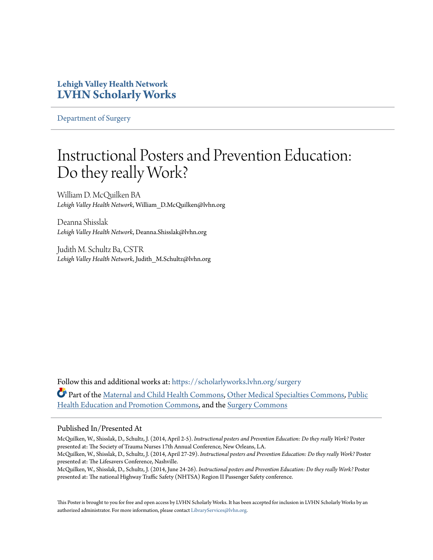#### **Lehigh Valley Health Network [LVHN Scholarly Works](https://scholarlyworks.lvhn.org?utm_source=scholarlyworks.lvhn.org%2Fsurgery%2F283&utm_medium=PDF&utm_campaign=PDFCoverPages)**

[Department of Surgery](https://scholarlyworks.lvhn.org/surgery?utm_source=scholarlyworks.lvhn.org%2Fsurgery%2F283&utm_medium=PDF&utm_campaign=PDFCoverPages)

#### Instructional Posters and Prevention Education: Do they really Work?

William D. McQuilken BA *Lehigh Valley Health Network*, William\_D.McQuilken@lvhn.org

Deanna Shisslak *Lehigh Valley Health Network*, Deanna.Shisslak@lvhn.org

Judith M. Schultz Ba, CSTR *Lehigh Valley Health Network*, Judith\_M.Schultz@lvhn.org

Follow this and additional works at: [https://scholarlyworks.lvhn.org/surgery](https://scholarlyworks.lvhn.org/surgery?utm_source=scholarlyworks.lvhn.org%2Fsurgery%2F283&utm_medium=PDF&utm_campaign=PDFCoverPages) Part of the [Maternal and Child Health Commons](http://network.bepress.com/hgg/discipline/745?utm_source=scholarlyworks.lvhn.org%2Fsurgery%2F283&utm_medium=PDF&utm_campaign=PDFCoverPages), [Other Medical Specialties Commons,](http://network.bepress.com/hgg/discipline/708?utm_source=scholarlyworks.lvhn.org%2Fsurgery%2F283&utm_medium=PDF&utm_campaign=PDFCoverPages) [Public](http://network.bepress.com/hgg/discipline/743?utm_source=scholarlyworks.lvhn.org%2Fsurgery%2F283&utm_medium=PDF&utm_campaign=PDFCoverPages) [Health Education and Promotion Commons](http://network.bepress.com/hgg/discipline/743?utm_source=scholarlyworks.lvhn.org%2Fsurgery%2F283&utm_medium=PDF&utm_campaign=PDFCoverPages), and the [Surgery Commons](http://network.bepress.com/hgg/discipline/706?utm_source=scholarlyworks.lvhn.org%2Fsurgery%2F283&utm_medium=PDF&utm_campaign=PDFCoverPages)

#### Published In/Presented At

McQuilken, W., Shisslak, D., Schultz, J. (2014, April 2-5). *Instructional posters and Prevention Education: Do they really Work?* Poster presented at: The Society of Trauma Nurses 17th Annual Conference, New Orleans, LA.

McQuilken, W., Shisslak, D., Schultz, J. (2014, April 27-29). *Instructional posters and Prevention Education: Do they really Work?* Poster presented at: The Lifesavers Conference, Nashville.

McQuilken, W., Shisslak, D., Schultz, J. (2014, June 24-26). *Instructional posters and Prevention Education: Do they really Work?* Poster presented at: The national Highway Traffic Safety (NHTSA) Region II Passenger Safety conference.

This Poster is brought to you for free and open access by LVHN Scholarly Works. It has been accepted for inclusion in LVHN Scholarly Works by an authorized administrator. For more information, please contact [LibraryServices@lvhn.org.](mailto:LibraryServices@lvhn.org)